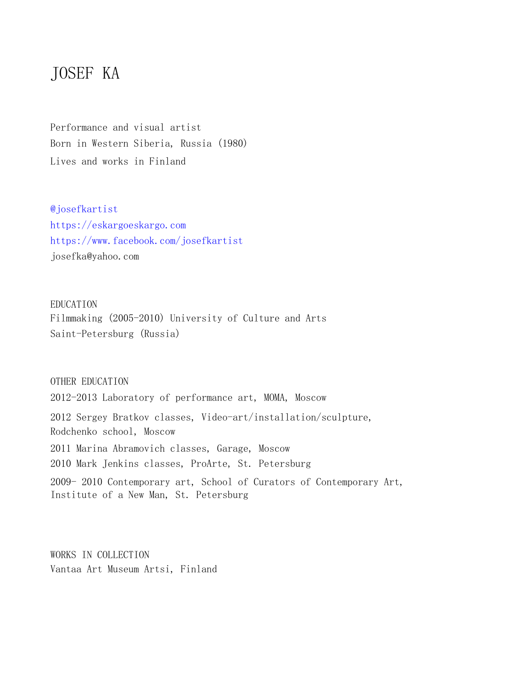# JOSEF KA

Performance and visual artist Born in Western Siberia, Russia (1980) Lives and works in Finland

@josefkartist https://eskargoeskargo.com https://www.facebook.com/josefkartist josefka@yahoo.com

EDUCATION Filmmaking (2005-2010) University of Culture and Arts Saint-Petersburg (Russia)

OTHER EDUCATION 2012-2013 Laboratory of performance art, MOMA, Moscow 2012 Sergey Bratkov classes, Video-art/installation/sculpture, Rodchenko school, Moscow 2011 Marina Abramovich classes, Garage, Moscow 2010 Mark Jenkins classes, ProArte, St. Petersburg 2009- 2010 Contemporary art, School of Curators of Contemporary Art, Institute of a New Man, St. Petersburg

WORKS IN COLLECTION Vantaa Art Museum Artsi, Finland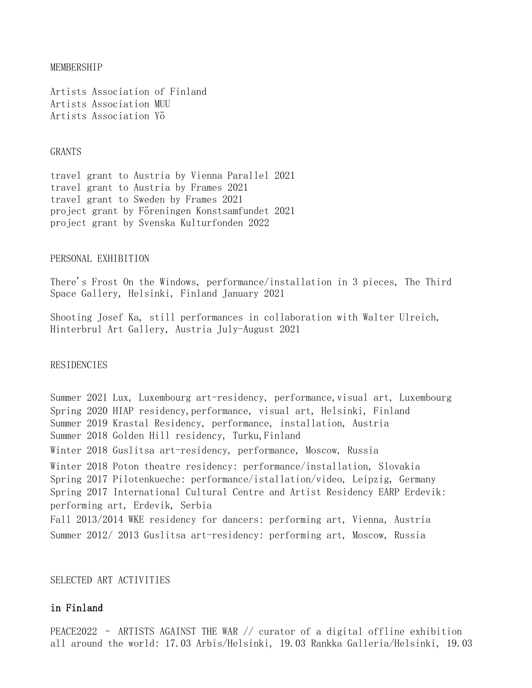#### MEMBERSHIP

Artists Association of Finland Artists Association MUU Artists Association Yö

#### GRANTS

travel grant to Austria by Vienna Parallel 2021 travel grant to Austria by Frames 2021 travel grant to Sweden by Frames 2021 project grant by Föreningen Konstsamfundet 2021 project grant by Svenska Kulturfonden 2022

### PERSONAL EXHIBITION

There's Frost On the Windows, performance/installation in 3 pieces, The Third Space Gallery, Helsinki, Finland January 2021

Shooting Josef Ka, still performances in collaboration with Walter Ulreich, Hinterbrul Art Gallery, Austria July-August 2021

## **RESIDENCIES**

Summer 2021 Lux, Luxembourg art-residency, performance, visual art, Luxembourg Spring 2020 HIAP residency,performance, visual art, Helsinki, Finland Summer 2019 Krastal Residency, performance, installation, Austria Summer 2018 Golden Hill residency, Turku, Finland Winter 2018 Guslitsa art-residency, performance, Moscow, Russia Winter 2018 Poton theatre residency: performance/installation, Slovakia Spring 2017 Pilotenkueche: performance/istallation/video, Leipzig, Germany Spring 2017 International Cultural Centre and Artist Residency EARP Erdevik: performing art, Erdevik, Serbia Fall 2013/2014 WKE residency for dancers: performing art, Vienna, Austria Summer 2012/ 2013 Guslitsa art-residency: performing art, Moscow, Russia

#### SELECTED ART ACTIVITIES

## in Finland

PEACE2022 – ARTISTS AGAINST THE WAR // curator of a digital offline exhibition all around the world: 17.03 Arbis/Helsinki, 19.03 Rankka Galleria/Helsinki, 19.03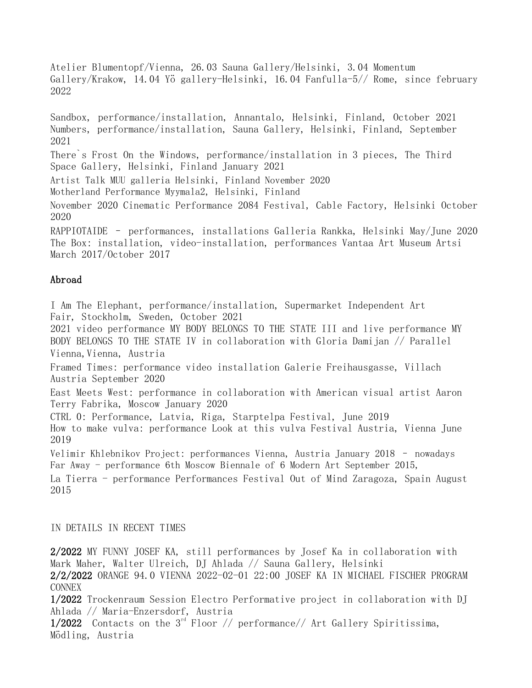Atelier Blumentopf/Vienna, 26.03 Sauna Gallery/Helsinki, 3.04 Momentum Gallery/Krakow, 14.04 Yö gallery-Helsinki, 16.04 Fanfulla-5// Rome, since february 2022

Sandbox, performance/installation, Annantalo, Helsinki, Finland, October 2021 Numbers, performance/installation, Sauna Gallery, Helsinki, Finland, September 2021

There`s Frost On the Windows, performance/installation in 3 pieces, The Third Space Gallery, Helsinki, Finland January 2021

Artist Talk MUU galleria Helsinki, Finland November 2020

Motherland Performance Myymala2, Helsinki, Finland

November 2020 Cinematic Performance 2084 Festival, Cable Factory, Helsinki October 2020

RAPPIOTAIDE – performances, installations Galleria Rankka, Helsinki May/June 2020 The Box: installation, video-installation, performances Vantaa Art Museum Artsi March 2017/October 2017

# Abroad

I Am The Elephant, performance/installation, Supermarket Independent Art Fair, Stockholm, Sweden, October 2021

2021 video performance MY BODY BELONGS TO THE STATE III and live performance MY BODY BELONGS TO THE STATE IV in collaboration with Gloria Damijan // Parallel Vienna, Vienna, Austria

Framed Times: performance video installation Galerie Freihausgasse, Villach Austria September 2020

East Meets West: performance in collaboration with American visual artist Aaron Terry Fabrika, Moscow January 2020

CTRL 0: Performance, Latvia, Riga, Starptelpa Festival, June 2019

How to make vulva: performance Look at this vulva Festival Austria, Vienna June 2019

Velimir Khlebnikov Project: performances Vienna, Austria January 2018 – nowadays Far Away - performance 6th Moscow Biennale of 6 Modern Art September 2015,

La Tierra - performance Performances Festival Out of Mind Zaragoza, Spain August 2015

## IN DETAILS IN RECENT TIMES

2/2022 MY FUNNY JOSEF KA, still performances by Josef Ka in collaboration with Mark Maher, Walter Ulreich, DJ Ahlada // Sauna Gallery, Helsinki

2/2/2022 ORANGE 94.0 VIENNA 2022-02-01 22:00 JOSEF KA IN MICHAEL FISCHER PROGRAM CONNEX

1/2022 Trockenraum Session Electro Performative project in collaboration with DJ Ahlada // Maria-Enzersdorf, Austria

1/2022 Contacts on the  $3^{rd}$  Floor // performance// Art Gallery Spiritissima, Mödling, Austria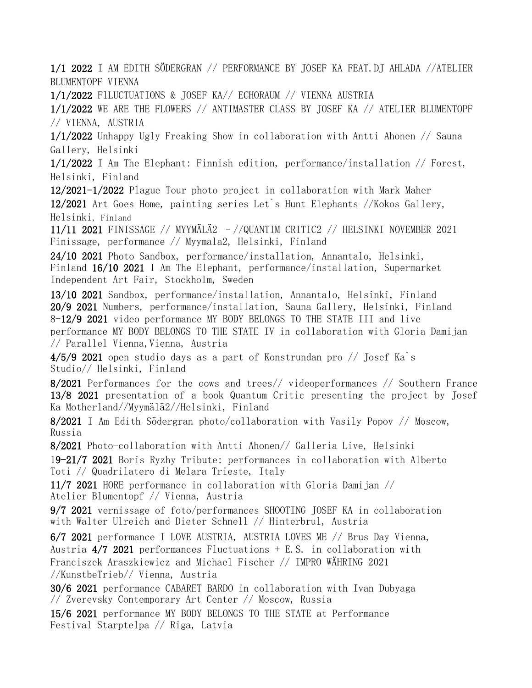1/1 2022 I AM EDITH SÖDERGRAN // PERFORMANCE BY JOSEF KA FEAT.DJ AHLADA //ATELIER BLUMENTOPF VIENNA 1/1/2022 FlLUCTUATIONS & JOSEF KA// ECHORAUM // VIENNA AUSTRIA 1/1/2022 WE ARE THE FLOWERS // ANTIMASTER CLASS BY JOSEF KA // ATELIER BLUMENTOPF // VIENNA, AUSTRIA 1/1/2022 Unhappy Ugly Freaking Show in collaboration with Antti Ahonen // Sauna Gallery, Helsinki

1/1/2022 I Am The Elephant: Finnish edition, performance/installation // Forest, Helsinki, Finland

12/2021-1/2022 Plague Tour photo project in collaboration with Mark Maher 12/2021 Art Goes Home, painting series Let`s Hunt Elephants //Kokos Gallery, Helsinki, Finland

11/11 2021 FINISSAGE // MYYMÄLÄ2 –//QUANTIM CRITIC2 // HELSINKI NOVEMBER 2021 Finissage, performance // Myymala2, Helsinki, Finland

24/10 2021 Photo Sandbox, performance/installation, Annantalo, Helsinki, Finland 16/10 2021 I Am The Elephant, performance/installation, Supermarket Independent Art Fair, Stockholm, Sweden

13/10 2021 Sandbox, performance/installation, Annantalo, Helsinki, Finland 20/9 2021 Numbers, performance/installation, Sauna Gallery, Helsinki, Finland 8-12/9 2021 video performance MY BODY BELONGS TO THE STATE III and live performance MY BODY BELONGS TO THE STATE IV in collaboration with Gloria Damijan // Parallel Vienna, Vienna, Austria

 $4/5/9$  2021 open studio days as a part of Konstrundan pro // Josef Ka's Studio// Helsinki, Finland

8/2021 Performances for the cows and trees// videoperformances // Southern France 13/8 2021 presentation of a book Quantum Critic presenting the project by Josef Ka Motherland//Myymälä2//Helsinki, Finland

8/2021 I Am Edith Södergran photo/collaboration with Vasily Popov // Moscow, Russia

8/2021 Photo-collaboration with Antti Ahonen// Galleria Live, Helsinki

19-21/7 2021 Boris Ryzhy Tribute: performances in collaboration with Alberto Toti // Quadrilatero di Melara Trieste, Italy

11/7 2021 HORE performance in collaboration with Gloria Damijan // Atelier Blumentopf // Vienna, Austria

9/7 2021 vernissage of foto/performances SHOOTING JOSEF KA in collaboration with Walter Ulreich and Dieter Schnell // Hinterbrul, Austria

6/7 2021 performance I LOVE AUSTRIA, AUSTRIA LOVES ME // Brus Day Vienna, Austria  $4/7$  2021 performances Fluctuations  $+$  E.S. in collaboration with Franciszek Araszkiewicz and Michael Fischer // IMPRO WÄHRING 2021 //KunstbeTrieb// Vienna, Austria

30/6 2021 performance CABARET BARDO in collaboration with Ivan Dubyaga // Zverevsky Contemporary Art Center // Moscow, Russia

15/6 2021 performance MY BODY BELONGS TO THE STATE at Performance Festival Starptelpa // Riga, Latvia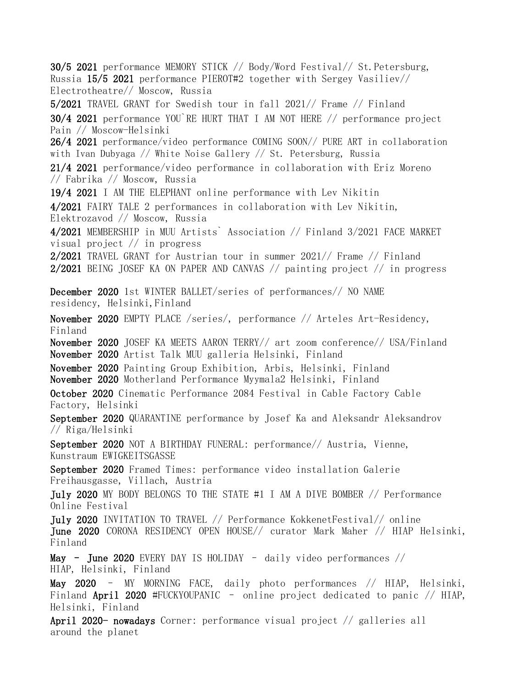30/5 2021 performance MEMORY STICK // Body/Word Festival// St.Petersburg, Russia 15/5 2021 performance PIEROT#2 together with Sergey Vasiliev// Electrotheatre// Moscow, Russia 5/2021 TRAVEL GRANT for Swedish tour in fall 2021// Frame // Finland 30/4 2021 performance YOU`RE HURT THAT I AM NOT HERE // performance project Pain // Moscow-Helsinki 26/4 2021 performance/video performance COMING SOON// PURE ART in collaboration with Ivan Dubyaga // White Noise Gallery // St. Petersburg, Russia 21/4 2021 performance/video performance in collaboration with Eriz Moreno // Fabrika // Moscow, Russia 19/4 2021 I AM THE ELEPHANT online performance with Lev Nikitin 4/2021 FAIRY TALE 2 performances in collaboration with Lev Nikitin, Elektrozavod // Moscow, Russia 4/2021 MEMBERSHIP in MUU Artists` Association // Finland 3/2021 FACE MARKET visual project // in progress 2/2021 TRAVEL GRANT for Austrian tour in summer 2021// Frame // Finland 2/2021 BEING JOSEF KA ON PAPER AND CANVAS // painting project // in progress December 2020 1st WINTER BALLET/series of performances// NO NAME residency, Helsinki,Finland November 2020 EMPTY PLACE /series/, performance // Arteles Art-Residency, Finland November 2020 JOSEF KA MEETS AARON TERRY// art zoom conference// USA/Finland November 2020 Artist Talk MUU galleria Helsinki, Finland November 2020 Painting Group Exhibition, Arbis, Helsinki, Finland November 2020 Motherland Performance Myymala2 Helsinki, Finland October 2020 Cinematic Performance 2084 Festival in Cable Factory Cable Factory, Helsinki September 2020 QUARANTINE performance by Josef Ka and Aleksandr Aleksandrov // Riga/Helsinki September 2020 NOT A BIRTHDAY FUNERAL: performance// Austria, Vienne, Kunstraum EWIGKEITSGASSE September 2020 Framed Times: performance video installation Galerie Freihausgasse, Villach, Austria July 2020 MY BODY BELONGS TO THE STATE #1 I AM A DIVE BOMBER // Performance Online Festival July 2020 INVITATION TO TRAVEL // Performance KokkenetFestival// online June 2020 CORONA RESIDENCY OPEN HOUSE// curator Mark Maher // HIAP Helsinki, Finland May – June 2020 EVERY DAY IS HOLIDAY – daily video performances // HIAP, Helsinki, Finland May 2020 – MY MORNING FACE, daily photo performances // HIAP, Helsinki, Finland April 2020 #FUCKYOUPANIC – online project dedicated to panic // HIAP, Helsinki, Finland April 2020- nowadays Corner: performance visual project // galleries all around the planet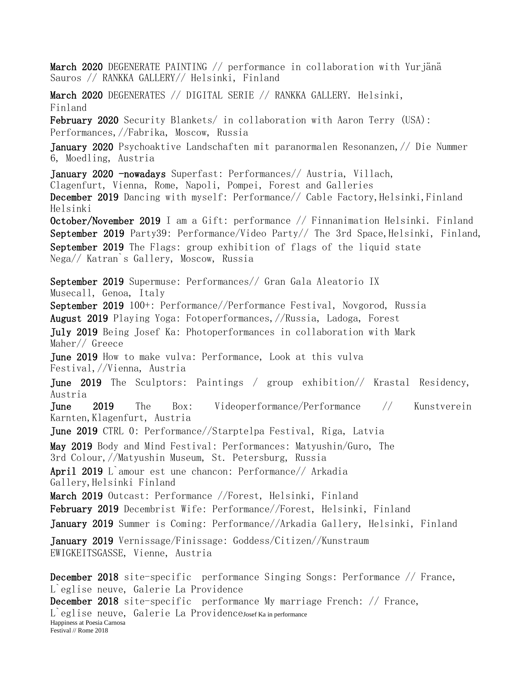March 2020 DEGENERATE PAINTING // performance in collaboration with Yurjänä Sauros // RANKKA GALLERY// Helsinki, Finland March 2020 DEGENERATES // DIGITAL SERIE // RANKKA GALLERY. Helsinki, Finland February 2020 Security Blankets/ in collaboration with Aaron Terry (USA): Performances,//Fabrika, Moscow, Russia January 2020 Psychoaktive Landschaften mit paranormalen Resonanzen,// Die Nummer 6, Moedling, Austria January 2020 -nowadays Superfast: Performances// Austria, Villach, Clagenfurt, Vienna, Rome, Napoli, Pompei, Forest and Galleries December 2019 Dancing with myself: Performance// Cable Factory, Helsinki, Finland Helsinki October/November 2019 I am a Gift: performance // Finnanimation Helsinki. Finland September 2019 Party39: Performance/Video Party// The 3rd Space, Helsinki, Finland, September 2019 The Flags: group exhibition of flags of the liquid state Nega// Katran`s Gallery, Moscow, Russia September 2019 Supermuse: Performances// Gran Gala Aleatorio IX Musecall, Genoa, Italy September 2019 100+: Performance//Performance Festival, Novgorod, Russia August 2019 Playing Yoga: Fotoperformances,//Russia, Ladoga, Forest July 2019 Being Josef Ka: Photoperformances in collaboration with Mark Maher// Greece June 2019 How to make vulva: Performance, Look at this vulva Festival,//Vienna, Austria June 2019 The Sculptors: Paintings / group exhibition// Krastal Residency, Austria June 2019 The Box: Videoperformance/Performance // Kunstverein Karnten,Klagenfurt, Austria June 2019 CTRL 0: Performance//Starptelpa Festival, Riga, Latvia May 2019 Body and Mind Festival: Performances: Matyushin/Guro, The 3rd Colour,//Matyushin Museum, St. Petersburg, Russia April 2019 L`amour est une chancon: Performance// Arkadia Gallery, Helsinki Finland March 2019 Outcast: Performance //Forest, Helsinki, Finland February 2019 Decembrist Wife: Performance//Forest, Helsinki, Finland January 2019 Summer is Coming: Performance//Arkadia Gallery, Helsinki, Finland January 2019 Vernissage/Finissage: Goddess/Citizen//Kunstraum EWIGKEITSGASSE, Vienne, Austria December 2018 site-specific performance Singing Songs: Performance // France, L`eglise neuve, Galerie La Providence December 2018 site-specific performance My marriage French: // France, L`eglise neuve, Galerie La ProvidenceJosef Ka in performance Happiness at Poesia Carnosa Festival // Rome 2018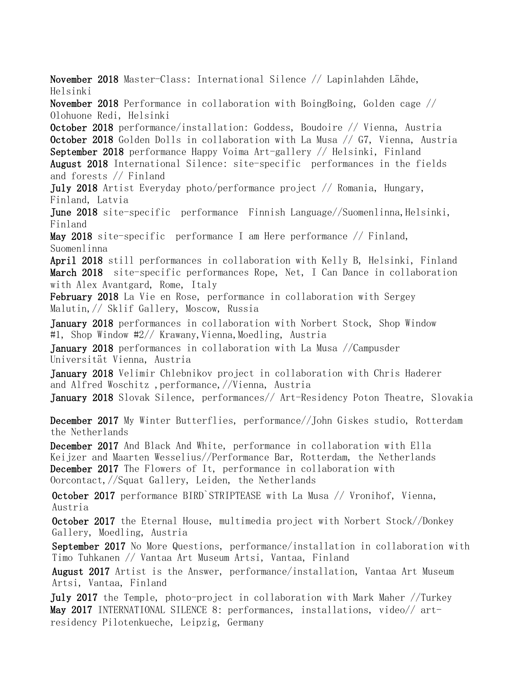November 2018 Master-Class: International Silence // Lapinlahden Lähde, Helsinki

November 2018 Performance in collaboration with BoingBoing, Golden cage // Olohuone Redi, Helsinki

October 2018 performance/installation: Goddess, Boudoire // Vienna, Austria October 2018 Golden Dolls in collaboration with La Musa // G7, Vienna, Austria September 2018 performance Happy Voima Art-gallery // Helsinki, Finland

August 2018 International Silence: site-specific performances in the fields and forests // Finland

July 2018 Artist Everyday photo/performance project // Romania, Hungary, Finland, Latvia

June 2018 site-specific performance Finnish Language//Suomenlinna, Helsinki, Finland

May 2018 site-specific performance I am Here performance // Finland, Suomenlinna

April 2018 still performances in collaboration with Kelly B, Helsinki, Finland March 2018 site-specific performances Rope, Net, I Can Dance in collaboration with Alex Avantgard, Rome, Italy

February 2018 La Vie en Rose, performance in collaboration with Sergey Malutin,// Sklif Gallery, Moscow, Russia

January 2018 performances in collaboration with Norbert Stock, Shop Window #1, Shop Window #2// Krawany, Vienna, Moedling, Austria

January 2018 performances in collaboration with La Musa //Campusder Universität Vienna, Austria

January 2018 Velimir Chlebnikov project in collaboration with Chris Haderer and Alfred Woschitz ,performance,//Vienna, Austria

January 2018 Slovak Silence, performances// Art-Residency Poton Theatre, Slovakia

December 2017 My Winter Butterflies, performance//John Giskes studio, Rotterdam the Netherlands

December 2017 And Black And White, performance in collaboration with Ella Keijzer and Maarten Wesselius//Performance Bar, Rotterdam, the Netherlands December 2017 The Flowers of It, performance in collaboration with Oorcontact,//Squat Gallery, Leiden, the Netherlands

October 2017 performance BIRD`STRIPTEASE with La Musa // Vronihof, Vienna, Austria

October 2017 the Eternal House, multimedia project with Norbert Stock//Donkey Gallery, Moedling, Austria

September 2017 No More Questions, performance/installation in collaboration with Timo Tuhkanen // Vantaa Art Museum Artsi, Vantaa, Finland

August 2017 Artist is the Answer, performance/installation, Vantaa Art Museum Artsi, Vantaa, Finland

July 2017 the Temple, photo-project in collaboration with Mark Maher //Turkey May 2017 INTERNATIONAL SILENCE 8: performances, installations, video// artresidency Pilotenkueche, Leipzig, Germany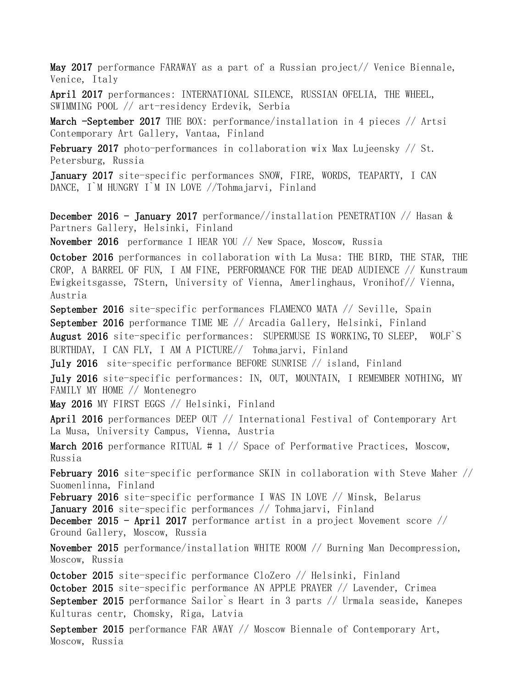May 2017 performance FARAWAY as a part of a Russian project// Venice Biennale, Venice, Italy

April 2017 performances: INTERNATIONAL SILENCE, RUSSIAN OFELIA, THE WHEEL, SWIMMING POOL // art-residency Erdevik, Serbia

March -September 2017 THE BOX: performance/installation in 4 pieces // Artsi Contemporary Art Gallery, Vantaa, Finland

February 2017 photo-performances in collaboration wix Max Lujeensky // St. Petersburg, Russia

January 2017 site-specific performances SNOW, FIRE, WORDS, TEAPARTY, I CAN DANCE, I`M HUNGRY I`M IN LOVE //Tohmajarvi, Finland

December 2016 - January 2017 performance//installation PENETRATION // Hasan & Partners Gallery, Helsinki, Finland

November 2016 performance I HEAR YOU // New Space, Moscow, Russia

October 2016 performances in collaboration with La Musa: THE BIRD, THE STAR, THE CROP, A BARREL OF FUN, I AM FINE, PERFORMANCE FOR THE DEAD AUDIENCE // Kunstraum Ewigkeitsgasse, 7Stern, University of Vienna, Amerlinghaus, Vronihof// Vienna, Austria

September 2016 site-specific performances FLAMENCO MATA // Seville, Spain September 2016 performance TIME ME // Arcadia Gallery, Helsinki, Finland August 2016 site-specific performances: SUPERMUSE IS WORKING,TO SLEEP, WOLF`S BURTHDAY, I CAN FLY, I AM A PICTURE// Tohmajarvi, Finland

July 2016 site-specific performance BEFORE SUNRISE // island, Finland

July 2016 site-specific performances: IN, OUT, MOUNTAIN, I REMEMBER NOTHING, MY FAMILY MY HOME // Montenegro

May 2016 MY FIRST EGGS // Helsinki, Finland

April 2016 performances DEEP OUT // International Festival of Contemporary Art La Musa, University Campus, Vienna, Austria

**March 2016** performance RITUAL #  $1$  // Space of Performative Practices, Moscow, Russia

February 2016 site-specific performance SKIN in collaboration with Steve Maher // Suomenlinna, Finland

February 2016 site-specific performance I WAS IN LOVE // Minsk, Belarus January 2016 site-specific performances // Tohmajarvi, Finland

December 2015 - April 2017 performance artist in a project Movement score // Ground Gallery, Moscow, Russia

November 2015 performance/installation WHITE ROOM // Burning Man Decompression, Moscow, Russia

October 2015 site-specific performance CloZero // Helsinki, Finland October 2015 site-specific performance AN APPLE PRAYER // Lavender, Crimea September 2015 performance Sailor`s Heart in 3 parts // Urmala seaside, Kanepes Kulturas centr, Chomsky, Riga, Latvia

September 2015 performance FAR AWAY // Moscow Biennale of Contemporary Art, Moscow, Russia